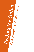# **Peeling the Onion** Co-Dependents Anonymous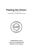# **Peeling the Onion:**

*Characteristics of Codependents Revisited*



**Codependents Look at Love, Sex, and Relationship Addiction and Avoidance**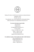

*Peeling The Onion* is CoDA Service Conference endorsed literature Copyright © 2019 All rights reserved This publication may not be reproduced or photocopied without written permission of Co-Dependents Anonymous Inc.

### **For more information about CoDA:**

www.coda.org info@coda.org Co-Dependents Anonymous, Inc., P.O. Box 33577 Phoenix, AZ 85067-3577, USA *Phone:* +1 602 277 7691 *Toll free:* 888-444-2359 *Spanish toll free:* 888-444-2379

### **For additional copies of this booklet and other CoDA literature**

www.corepublications.org info@corepublications.org CoRe Publications Inc., *Phone:* +1 805 297 8114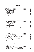# **Contents**

|                                                       | 5              |
|-------------------------------------------------------|----------------|
|                                                       | 6              |
| Fear of not being enough                              | 6              |
|                                                       | $\overline{7}$ |
|                                                       |                |
|                                                       |                |
|                                                       |                |
|                                                       | 10             |
| Relationship Anorexia                                 | 10             |
|                                                       | 11             |
| Patterns and Characteristics of Codependence          | 12             |
|                                                       | 12             |
| Low Self-Esteem Patterns                              | 13             |
|                                                       | 15             |
|                                                       | 17             |
|                                                       |                |
|                                                       |                |
| We reach out for help when we need it 23              |                |
|                                                       |                |
| We see others and ourselves realistically  23         |                |
|                                                       |                |
| We set boundaries that insure our well-being  24      |                |
| We use the tools of recovery  24                      |                |
|                                                       |                |
| We rely on a Higher Power  25                         |                |
| Codependent Relationships vs. Authentic Relationships | 26             |
|                                                       | 28             |
| Boundaries, Boundaries, Boundaries                    | 28             |
| I Keep Coming Back                                    | 29             |
|                                                       | 31             |
| From Fantasy to Reality                               | 32             |
| Relapse and Recovery                                  | 33             |
| Learning To Stay Present                              | 34             |
|                                                       |                |
|                                                       |                |
| The Twelve Steps of Co-Dependents Anonymous. 39       |                |
| The Twelve Traditions of Co-Dependents Anonymous  40  |                |